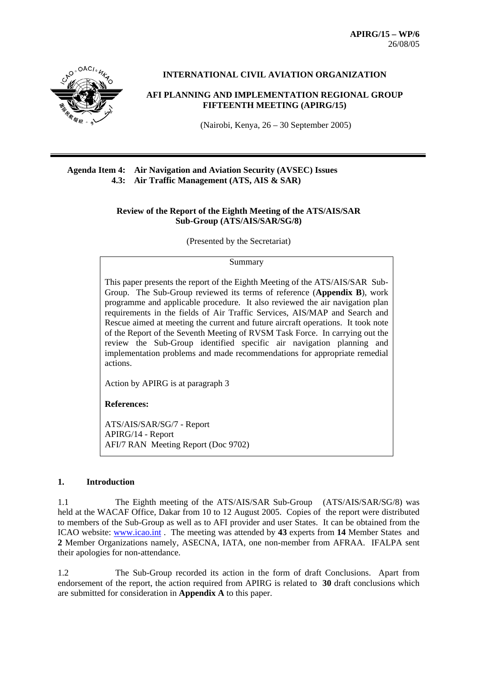**APIRG/15 – WP/6**  26/08/05



**INTERNATIONAL CIVIL AVIATION ORGANIZATION** 

**AFI PLANNING AND IMPLEMENTATION REGIONAL GROUP FIFTEENTH MEETING (APIRG/15)**

(Nairobi, Kenya, 26 – 30 September 2005)

#### **Agenda Item 4: Air Navigation and Aviation Security (AVSEC) Issues 4.3: Air Traffic Management (ATS, AIS & SAR)**

#### **Review of the Report of the Eighth Meeting of the ATS/AIS/SAR Sub-Group (ATS/AIS/SAR/SG/8)**

(Presented by the Secretariat)

#### Summary

This paper presents the report of the Eighth Meeting of the ATS/AIS/SAR Sub-Group. The Sub-Group reviewed its terms of reference (**Appendix B**), work programme and applicable procedure. It also reviewed the air navigation plan requirements in the fields of Air Traffic Services, AIS/MAP and Search and Rescue aimed at meeting the current and future aircraft operations. It took note of the Report of the Seventh Meeting of RVSM Task Force. In carrying out the review the Sub-Group identified specific air navigation planning and implementation problems and made recommendations for appropriate remedial actions.

Action by APIRG is at paragraph 3

**References:**

ATS/AIS/SAR/SG/7 - Report APIRG/14 - Report AFI/7 RAN Meeting Report (Doc 9702)

#### **1. Introduction**

1.1 The Eighth meeting of the ATS/AIS/SAR Sub-Group (ATS/AIS/SAR/SG/8) was held at the WACAF Office, Dakar from 10 to 12 August 2005. Copies of the report were distributed to members of the Sub-Group as well as to AFI provider and user States. It can be obtained from the ICAO website: www.icao.int . The meeting was attended by **43** experts from **14** Member States and **2** Member Organizations namely, ASECNA, IATA, one non-member from AFRAA. IFALPA sent their apologies for non-attendance.

1.2 The Sub-Group recorded its action in the form of draft Conclusions. Apart from endorsement of the report, the action required from APIRG is related to **30** draft conclusions which are submitted for consideration in **Appendix A** to this paper.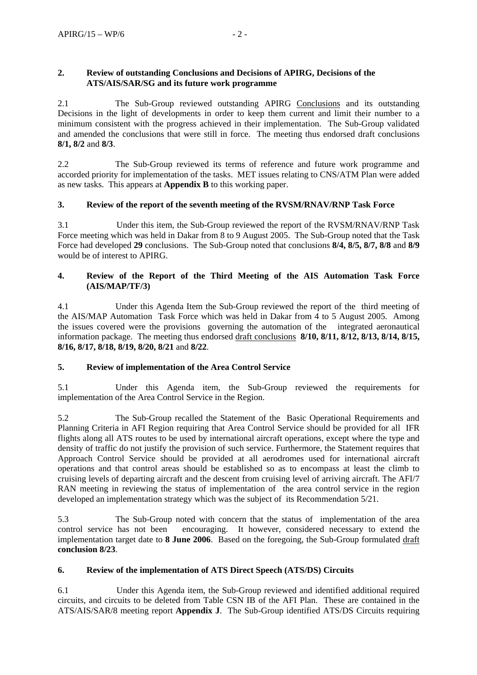### **2. Review of outstanding Conclusions and Decisions of APIRG, Decisions of the ATS/AIS/SAR/SG and its future work programme**

2.1 The Sub-Group reviewed outstanding APIRG Conclusions and its outstanding Decisions in the light of developments in order to keep them current and limit their number to a minimum consistent with the progress achieved in their implementation. The Sub-Group validated and amended the conclusions that were still in force. The meeting thus endorsed draft conclusions **8/1, 8/2** and **8/3**.

2.2 The Sub-Group reviewed its terms of reference and future work programme and accorded priority for implementation of the tasks. MET issues relating to CNS/ATM Plan were added as new tasks. This appears at **Appendix B** to this working paper.

# **3. Review of the report of the seventh meeting of the RVSM/RNAV/RNP Task Force**

3.1 Under this item, the Sub-Group reviewed the report of the RVSM/RNAV/RNP Task Force meeting which was held in Dakar from 8 to 9 August 2005. The Sub-Group noted that the Task Force had developed **29** conclusions. The Sub-Group noted that conclusions **8/4, 8/5, 8/7, 8/8** and **8/9** would be of interest to APIRG.

## **4. Review of the Report of the Third Meeting of the AIS Automation Task Force (AIS/MAP/TF/3)**

4.1 Under this Agenda Item the Sub-Group reviewed the report of the third meeting of the AIS/MAP Automation Task Force which was held in Dakar from 4 to 5 August 2005. Among the issues covered were the provisions governing the automation of the integrated aeronautical information package. The meeting thus endorsed draft conclusions **8/10, 8/11, 8/12, 8/13, 8/14, 8/15, 8/16, 8/17, 8/18, 8/19, 8/20, 8/21** and **8/22**.

# **5. Review of implementation of the Area Control Service**

5.1 Under this Agenda item, the Sub-Group reviewed the requirements for implementation of the Area Control Service in the Region.

5.2 The Sub-Group recalled the Statement of the Basic Operational Requirements and Planning Criteria in AFI Region requiring that Area Control Service should be provided for all IFR flights along all ATS routes to be used by international aircraft operations, except where the type and density of traffic do not justify the provision of such service. Furthermore, the Statement requires that Approach Control Service should be provided at all aerodromes used for international aircraft operations and that control areas should be established so as to encompass at least the climb to cruising levels of departing aircraft and the descent from cruising level of arriving aircraft. The AFI/7 RAN meeting in reviewing the status of implementation of the area control service in the region developed an implementation strategy which was the subject of its Recommendation 5/21.

5.3 The Sub-Group noted with concern that the status of implementation of the area control service has not been encouraging. It however, considered necessary to extend the implementation target date to **8 June 2006**. Based on the foregoing, the Sub-Group formulated draft **conclusion 8/23**.

### **6. Review of the implementation of ATS Direct Speech (ATS/DS) Circuits**

6.1 Under this Agenda item, the Sub-Group reviewed and identified additional required circuits, and circuits to be deleted from Table CSN IB of the AFI Plan. These are contained in the ATS/AIS/SAR/8 meeting report **Appendix J**. The Sub-Group identified ATS/DS Circuits requiring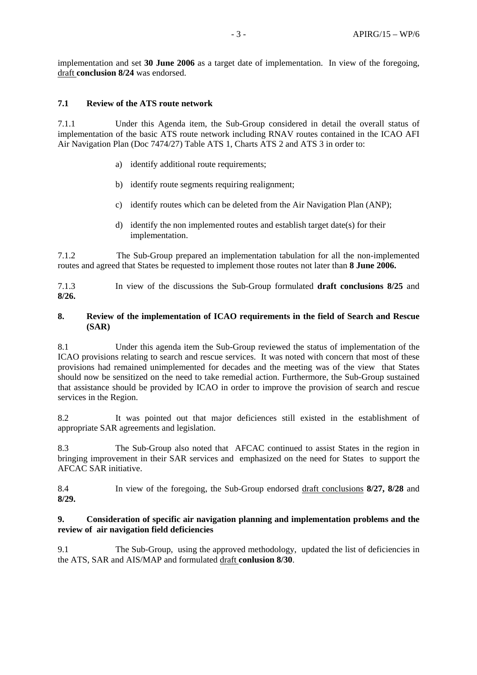implementation and set **30 June 2006** as a target date of implementation. In view of the foregoing, draft **conclusion 8/24** was endorsed.

### **7.1 Review of the ATS route network**

7.1.1 Under this Agenda item, the Sub-Group considered in detail the overall status of implementation of the basic ATS route network including RNAV routes contained in the ICAO AFI Air Navigation Plan (Doc 7474/27) Table ATS 1, Charts ATS 2 and ATS 3 in order to:

- a) identify additional route requirements;
- b) identify route segments requiring realignment;
- c) identify routes which can be deleted from the Air Navigation Plan (ANP);
- d) identify the non implemented routes and establish target date(s) for their implementation.

7.1.2 The Sub-Group prepared an implementation tabulation for all the non-implemented routes and agreed that States be requested to implement those routes not later than **8 June 2006.**

7.1.3 In view of the discussions the Sub-Group formulated **draft conclusions 8/25** and **8/26.**

#### **8. Review of the implementation of ICAO requirements in the field of Search and Rescue (SAR)**

8.1 Under this agenda item the Sub-Group reviewed the status of implementation of the ICAO provisions relating to search and rescue services. It was noted with concern that most of these provisions had remained unimplemented for decades and the meeting was of the view that States should now be sensitized on the need to take remedial action. Furthermore, the Sub-Group sustained that assistance should be provided by ICAO in order to improve the provision of search and rescue services in the Region.

8.2 It was pointed out that major deficiences still existed in the establishment of appropriate SAR agreements and legislation.

8.3 The Sub-Group also noted that AFCAC continued to assist States in the region in bringing improvement in their SAR services and emphasized on the need for States to support the AFCAC SAR initiative.

8.4 In view of the foregoing, the Sub-Group endorsed draft conclusions **8/27, 8/28** and **8/29.** 

#### **9. Consideration of specific air navigation planning and implementation problems and the review of air navigation field deficiencies**

9.1 The Sub-Group, using the approved methodology, updated the list of deficiencies in the ATS, SAR and AIS/MAP and formulated draft **conlusion 8/30**.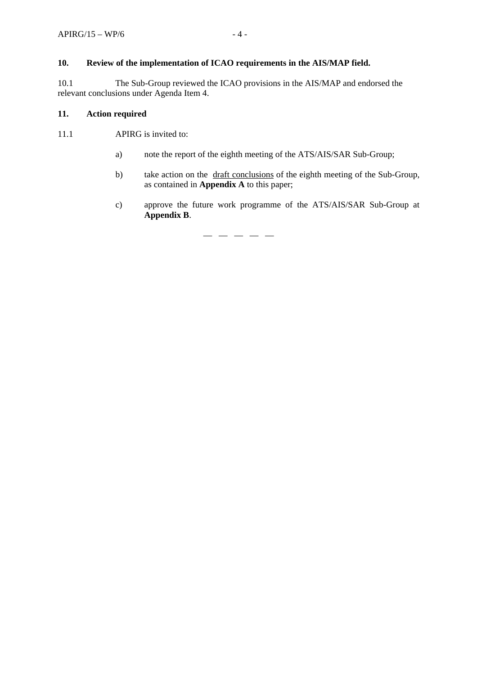### **10. Review of the implementation of ICAO requirements in the AIS/MAP field.**

10.1 The Sub-Group reviewed the ICAO provisions in the AIS/MAP and endorsed the relevant conclusions under Agenda Item 4.

### **11. Action required**

11.1 APIRG is invited to:

- a) note the report of the eighth meeting of the ATS/AIS/SAR Sub-Group;
- b) take action on the draft conclusions of the eighth meeting of the Sub-Group, as contained in **Appendix A** to this paper;
- c) approve the future work programme of the ATS/AIS/SAR Sub-Group at **Appendix B**.

— — — — —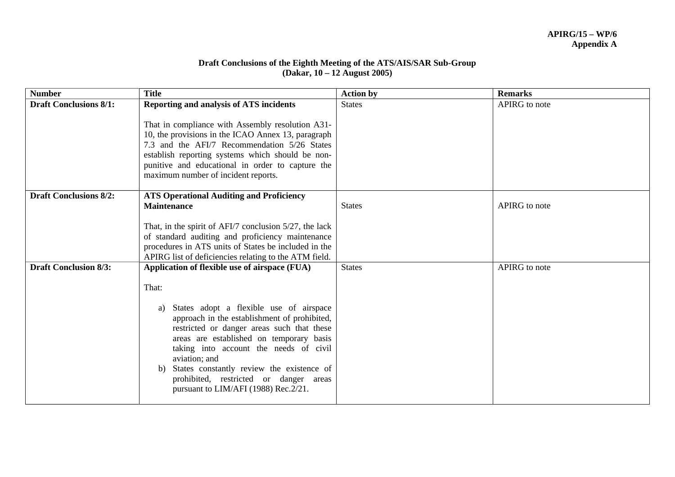#### **Draft Conclusions of the Eighth Meeting of the ATS/AIS/SAR Sub-Group (Dakar, 10 – 12 August 2005)**

| <b>Number</b>                 | <b>Title</b>                                                                                                                                                                                                                                                                                                                                                                                                                                       | <b>Action by</b> | <b>Remarks</b> |
|-------------------------------|----------------------------------------------------------------------------------------------------------------------------------------------------------------------------------------------------------------------------------------------------------------------------------------------------------------------------------------------------------------------------------------------------------------------------------------------------|------------------|----------------|
| <b>Draft Conclusions 8/1:</b> | Reporting and analysis of ATS incidents                                                                                                                                                                                                                                                                                                                                                                                                            | <b>States</b>    | APIRG to note  |
|                               | That in compliance with Assembly resolution A31-<br>10, the provisions in the ICAO Annex 13, paragraph<br>7.3 and the AFI/7 Recommendation 5/26 States<br>establish reporting systems which should be non-<br>punitive and educational in order to capture the<br>maximum number of incident reports.                                                                                                                                              |                  |                |
| <b>Draft Conclusions 8/2:</b> | <b>ATS Operational Auditing and Proficiency</b><br><b>Maintenance</b><br>That, in the spirit of $AFI/7$ conclusion $5/27$ , the lack<br>of standard auditing and proficiency maintenance<br>procedures in ATS units of States be included in the<br>APIRG list of deficiencies relating to the ATM field.                                                                                                                                          | <b>States</b>    | APIRG to note  |
| <b>Draft Conclusion 8/3:</b>  | Application of flexible use of airspace (FUA)<br>That:<br>States adopt a flexible use of airspace<br>a)<br>approach in the establishment of prohibited,<br>restricted or danger areas such that these<br>areas are established on temporary basis<br>taking into account the needs of civil<br>aviation; and<br>States constantly review the existence of<br>b)<br>prohibited, restricted or danger areas<br>pursuant to LIM/AFI (1988) Rec. 2/21. | <b>States</b>    | APIRG to note  |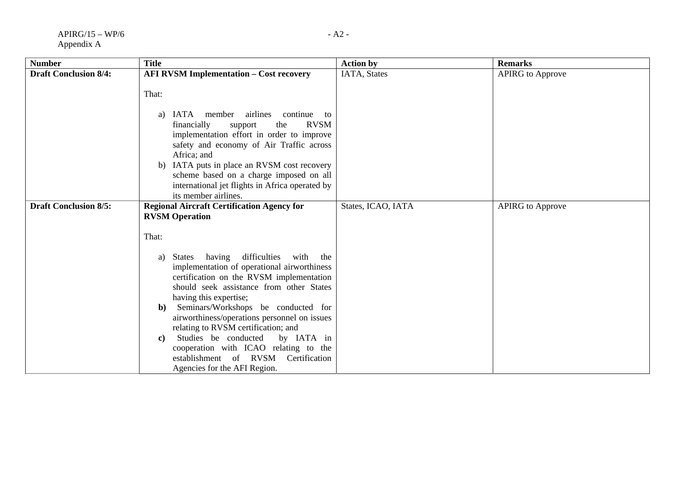| <b>Number</b>                | <b>Title</b>                                                                                                                                                                                                                                                                                                                                                                                                                                                                                                           | <b>Action by</b>   | <b>Remarks</b>          |
|------------------------------|------------------------------------------------------------------------------------------------------------------------------------------------------------------------------------------------------------------------------------------------------------------------------------------------------------------------------------------------------------------------------------------------------------------------------------------------------------------------------------------------------------------------|--------------------|-------------------------|
| <b>Draft Conclusion 8/4:</b> | <b>AFI RVSM Implementation - Cost recovery</b>                                                                                                                                                                                                                                                                                                                                                                                                                                                                         | IATA, States       | <b>APIRG</b> to Approve |
|                              | That:<br>IATA member airlines continue to<br>a)<br>financially<br><b>RVSM</b><br>the<br>support<br>implementation effort in order to improve<br>safety and economy of Air Traffic across<br>Africa; and<br>b) IATA puts in place an RVSM cost recovery<br>scheme based on a charge imposed on all<br>international jet flights in Africa operated by<br>its member airlines.                                                                                                                                           |                    |                         |
| <b>Draft Conclusion 8/5:</b> | <b>Regional Aircraft Certification Agency for</b>                                                                                                                                                                                                                                                                                                                                                                                                                                                                      | States, ICAO, IATA | <b>APIRG</b> to Approve |
|                              | <b>RVSM</b> Operation                                                                                                                                                                                                                                                                                                                                                                                                                                                                                                  |                    |                         |
|                              | That:                                                                                                                                                                                                                                                                                                                                                                                                                                                                                                                  |                    |                         |
|                              | having<br>difficulties<br>with<br>the<br>States<br>a)<br>implementation of operational airworthiness<br>certification on the RVSM implementation<br>should seek assistance from other States<br>having this expertise;<br>Seminars/Workshops be conducted for<br>b)<br>airworthiness/operations personnel on issues<br>relating to RVSM certification; and<br>Studies be conducted<br>by IATA in<br>C)<br>cooperation with ICAO relating to the<br>establishment of RVSM Certification<br>Agencies for the AFI Region. |                    |                         |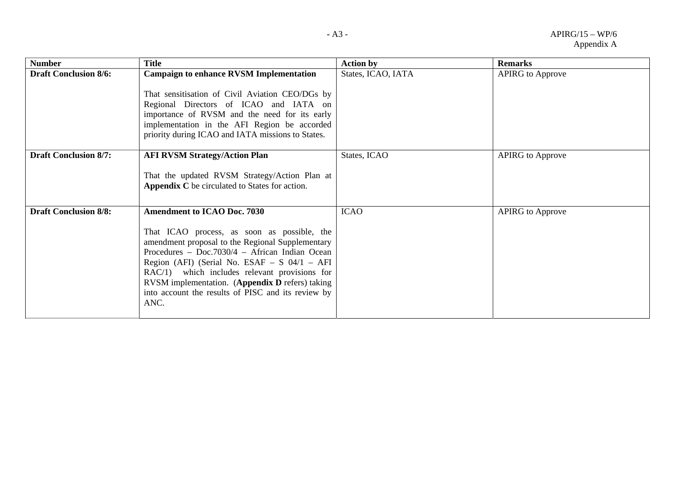| <b>Number</b>                | <b>Title</b>                                                                                                                                                                                                                                                                                                                                                                                                  | <b>Action by</b>   | <b>Remarks</b>          |
|------------------------------|---------------------------------------------------------------------------------------------------------------------------------------------------------------------------------------------------------------------------------------------------------------------------------------------------------------------------------------------------------------------------------------------------------------|--------------------|-------------------------|
| <b>Draft Conclusion 8/6:</b> | <b>Campaign to enhance RVSM Implementation</b><br>That sensitisation of Civil Aviation CEO/DGs by<br>Regional Directors of ICAO and IATA on<br>importance of RVSM and the need for its early<br>implementation in the AFI Region be accorded<br>priority during ICAO and IATA missions to States.                                                                                                             | States, ICAO, IATA | <b>APIRG</b> to Approve |
| <b>Draft Conclusion 8/7:</b> | <b>AFI RVSM Strategy/Action Plan</b><br>That the updated RVSM Strategy/Action Plan at<br>Appendix C be circulated to States for action.                                                                                                                                                                                                                                                                       | States, ICAO       | <b>APIRG</b> to Approve |
| <b>Draft Conclusion 8/8:</b> | <b>Amendment to ICAO Doc. 7030</b><br>That ICAO process, as soon as possible, the<br>amendment proposal to the Regional Supplementary<br>Procedures - Doc.7030/4 - African Indian Ocean<br>Region (AFI) (Serial No. ESAF $-$ S 04/1 $-$ AFI<br>RAC/1) which includes relevant provisions for<br>RVSM implementation. (Appendix D refers) taking<br>into account the results of PISC and its review by<br>ANC. | <b>ICAO</b>        | <b>APIRG</b> to Approve |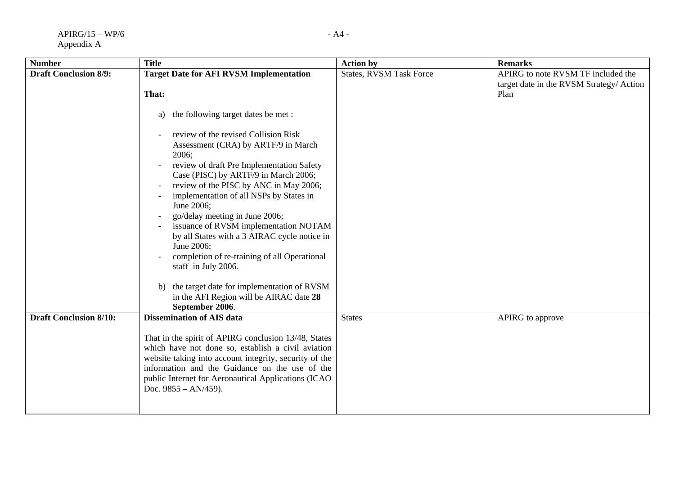| <b>Number</b>                 | <b>Title</b>                                                                                                                                                                                                                                                                                                                                                                                                                                                                                                                                                                                                                                                                                        | <b>Action by</b>               | <b>Remarks</b>                                                                        |
|-------------------------------|-----------------------------------------------------------------------------------------------------------------------------------------------------------------------------------------------------------------------------------------------------------------------------------------------------------------------------------------------------------------------------------------------------------------------------------------------------------------------------------------------------------------------------------------------------------------------------------------------------------------------------------------------------------------------------------------------------|--------------------------------|---------------------------------------------------------------------------------------|
| <b>Draft Conclusion 8/9:</b>  | <b>Target Date for AFI RVSM Implementation</b><br>That:<br>the following target dates be met :<br>a)<br>review of the revised Collision Risk<br>Assessment (CRA) by ARTF/9 in March<br>2006;<br>review of draft Pre Implementation Safety<br>Case (PISC) by ARTF/9 in March 2006;<br>review of the PISC by ANC in May 2006;<br>implementation of all NSPs by States in<br>June 2006;<br>go/delay meeting in June 2006;<br>issuance of RVSM implementation NOTAM<br>by all States with a 3 AIRAC cycle notice in<br>June 2006;<br>completion of re-training of all Operational<br>staff in July 2006.<br>the target date for implementation of RVSM<br>b)<br>in the AFI Region will be AIRAC date 28 | <b>States, RVSM Task Force</b> | APIRG to note RVSM TF included the<br>target date in the RVSM Strategy/Action<br>Plan |
| <b>Draft Conclusion 8/10:</b> | September 2006.<br><b>Dissemination of AIS data</b><br>That in the spirit of APIRG conclusion 13/48, States<br>which have not done so, establish a civil aviation<br>website taking into account integrity, security of the<br>information and the Guidance on the use of the<br>public Internet for Aeronautical Applications (ICAO<br>Doc. $9855 - AN/459$ ).                                                                                                                                                                                                                                                                                                                                     | <b>States</b>                  | APIRG to approve                                                                      |
|                               |                                                                                                                                                                                                                                                                                                                                                                                                                                                                                                                                                                                                                                                                                                     |                                |                                                                                       |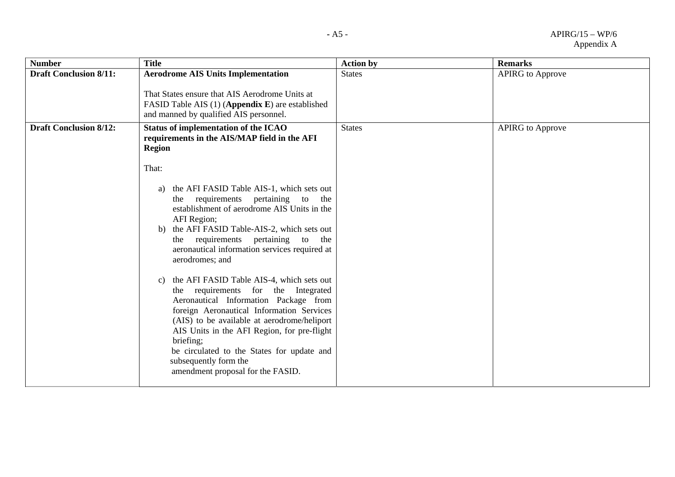| <b>Number</b>                 | <b>Title</b>                                                                                                                                                                                                                                                                                                                                                                                                                                                                                                                                                                                                                                                                                                                                                                                                                                       | <b>Action by</b> | <b>Remarks</b>          |
|-------------------------------|----------------------------------------------------------------------------------------------------------------------------------------------------------------------------------------------------------------------------------------------------------------------------------------------------------------------------------------------------------------------------------------------------------------------------------------------------------------------------------------------------------------------------------------------------------------------------------------------------------------------------------------------------------------------------------------------------------------------------------------------------------------------------------------------------------------------------------------------------|------------------|-------------------------|
| <b>Draft Conclusion 8/11:</b> | <b>Aerodrome AIS Units Implementation</b><br>That States ensure that AIS Aerodrome Units at<br>FASID Table AIS (1) (Appendix E) are established<br>and manned by qualified AIS personnel.                                                                                                                                                                                                                                                                                                                                                                                                                                                                                                                                                                                                                                                          | <b>States</b>    | <b>APIRG</b> to Approve |
| <b>Draft Conclusion 8/12:</b> | Status of implementation of the ICAO<br>requirements in the AIS/MAP field in the AFI<br><b>Region</b><br>That:<br>the AFI FASID Table AIS-1, which sets out<br>a)<br>requirements pertaining<br>to<br>the<br>the<br>establishment of aerodrome AIS Units in the<br>AFI Region;<br>the AFI FASID Table-AIS-2, which sets out<br>b)<br>the requirements pertaining to the<br>aeronautical information services required at<br>aerodromes; and<br>the AFI FASID Table AIS-4, which sets out<br>C)<br>the requirements for the Integrated<br>Aeronautical Information Package from<br>foreign Aeronautical Information Services<br>(AIS) to be available at aerodrome/heliport<br>AIS Units in the AFI Region, for pre-flight<br>briefing;<br>be circulated to the States for update and<br>subsequently form the<br>amendment proposal for the FASID. | <b>States</b>    | <b>APIRG</b> to Approve |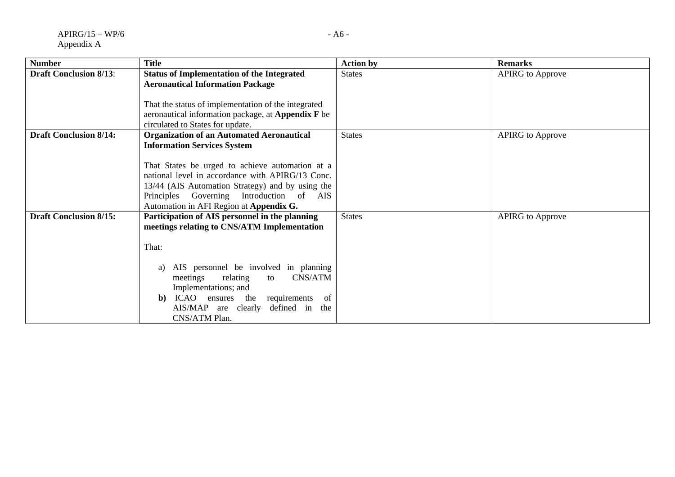| <b>Number</b>                 | <b>Title</b>                                              | <b>Action by</b> | <b>Remarks</b>          |
|-------------------------------|-----------------------------------------------------------|------------------|-------------------------|
|                               |                                                           |                  |                         |
| <b>Draft Conclusion 8/13:</b> | <b>Status of Implementation of the Integrated</b>         | <b>States</b>    | <b>APIRG</b> to Approve |
|                               | <b>Aeronautical Information Package</b>                   |                  |                         |
|                               |                                                           |                  |                         |
|                               | That the status of implementation of the integrated       |                  |                         |
|                               | aeronautical information package, at <b>Appendix</b> F be |                  |                         |
|                               | circulated to States for update.                          |                  |                         |
| <b>Draft Conclusion 8/14:</b> | <b>Organization of an Automated Aeronautical</b>          | <b>States</b>    | <b>APIRG</b> to Approve |
|                               | <b>Information Services System</b>                        |                  |                         |
|                               |                                                           |                  |                         |
|                               | That States be urged to achieve automation at a           |                  |                         |
|                               | national level in accordance with APIRG/13 Conc.          |                  |                         |
|                               | 13/44 (AIS Automation Strategy) and by using the          |                  |                         |
|                               | Principles Governing Introduction of AIS                  |                  |                         |
|                               |                                                           |                  |                         |
|                               | Automation in AFI Region at Appendix G.                   |                  |                         |
| <b>Draft Conclusion 8/15:</b> | Participation of AIS personnel in the planning            | <b>States</b>    | <b>APIRG</b> to Approve |
|                               | meetings relating to CNS/ATM Implementation               |                  |                         |
|                               |                                                           |                  |                         |
|                               | That:                                                     |                  |                         |
|                               |                                                           |                  |                         |
|                               | AIS personnel be involved in planning<br>a)               |                  |                         |
|                               | CNS/ATM<br>relating<br>meetings<br>to                     |                  |                         |
|                               | Implementations; and                                      |                  |                         |
|                               | ICAO ensures the<br>requirements<br>of<br>b)              |                  |                         |
|                               | AIS/MAP are clearly<br>defined in the                     |                  |                         |
|                               | CNS/ATM Plan.                                             |                  |                         |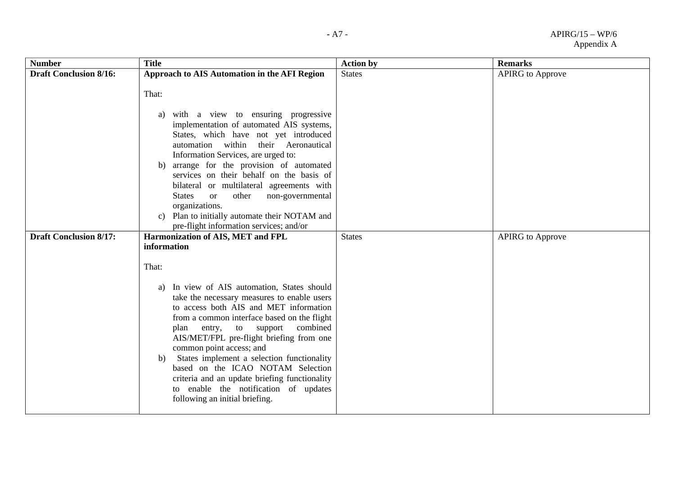| <b>Number</b>                 | <b>Title</b>                                                                                                                                                                                                                                                                                                                                                                                                                                                                                                                       | <b>Action by</b> | <b>Remarks</b>          |
|-------------------------------|------------------------------------------------------------------------------------------------------------------------------------------------------------------------------------------------------------------------------------------------------------------------------------------------------------------------------------------------------------------------------------------------------------------------------------------------------------------------------------------------------------------------------------|------------------|-------------------------|
| <b>Draft Conclusion 8/16:</b> | Approach to AIS Automation in the AFI Region                                                                                                                                                                                                                                                                                                                                                                                                                                                                                       | <b>States</b>    | <b>APIRG</b> to Approve |
|                               | That:<br>with a view to ensuring progressive<br>a)<br>implementation of automated AIS systems,<br>States, which have not yet introduced<br>automation within their Aeronautical<br>Information Services, are urged to:<br>arrange for the provision of automated<br>b)<br>services on their behalf on the basis of<br>bilateral or multilateral agreements with<br><b>States</b><br>other<br>non-governmental<br><sub>or</sub><br>organizations.<br>Plan to initially automate their NOTAM and<br>C)                               |                  |                         |
|                               | pre-flight information services; and/or                                                                                                                                                                                                                                                                                                                                                                                                                                                                                            |                  |                         |
| <b>Draft Conclusion 8/17:</b> | Harmonization of AIS, MET and FPL<br>information                                                                                                                                                                                                                                                                                                                                                                                                                                                                                   | <b>States</b>    | <b>APIRG</b> to Approve |
|                               | That:<br>In view of AIS automation, States should<br>a)<br>take the necessary measures to enable users<br>to access both AIS and MET information<br>from a common interface based on the flight<br>combined<br>plan entry, to support<br>AIS/MET/FPL pre-flight briefing from one<br>common point access; and<br>States implement a selection functionality<br>b)<br>based on the ICAO NOTAM Selection<br>criteria and an update briefing functionality<br>to enable the notification of updates<br>following an initial briefing. |                  |                         |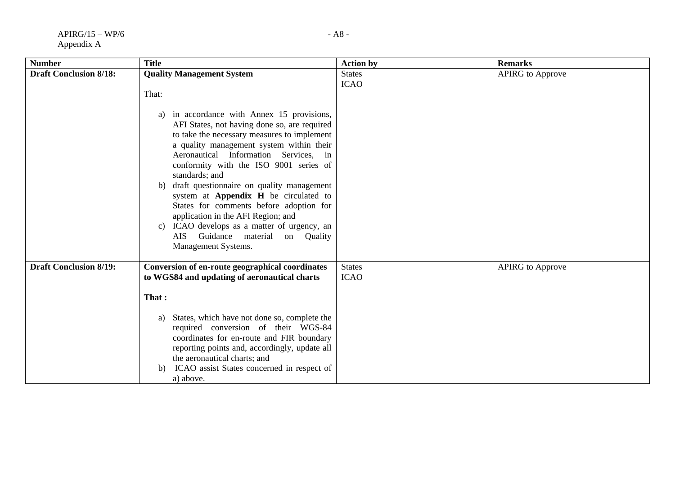| <b>Number</b>                 | <b>Title</b>                                                                                                                                                                                                                                                                                                                                                                                                                                                                                                                                                                                                                            | <b>Action by</b>             | <b>Remarks</b>          |
|-------------------------------|-----------------------------------------------------------------------------------------------------------------------------------------------------------------------------------------------------------------------------------------------------------------------------------------------------------------------------------------------------------------------------------------------------------------------------------------------------------------------------------------------------------------------------------------------------------------------------------------------------------------------------------------|------------------------------|-------------------------|
| <b>Draft Conclusion 8/18:</b> | <b>Quality Management System</b><br>That:<br>in accordance with Annex 15 provisions,<br>a)<br>AFI States, not having done so, are required<br>to take the necessary measures to implement<br>a quality management system within their<br>Aeronautical Information Services, in<br>conformity with the ISO 9001 series of<br>standards; and<br>draft questionnaire on quality management<br>b)<br>system at Appendix H be circulated to<br>States for comments before adoption for<br>application in the AFI Region; and<br>ICAO develops as a matter of urgency, an<br>C)<br>AIS Guidance material<br>on Quality<br>Management Systems. | <b>States</b><br><b>ICAO</b> | <b>APIRG</b> to Approve |
| <b>Draft Conclusion 8/19:</b> | Conversion of en-route geographical coordinates<br>to WGS84 and updating of aeronautical charts<br>That:<br>States, which have not done so, complete the<br>a)<br>required conversion of their WGS-84<br>coordinates for en-route and FIR boundary<br>reporting points and, accordingly, update all<br>the aeronautical charts; and<br>ICAO assist States concerned in respect of<br>b)<br>a) above.                                                                                                                                                                                                                                    | <b>States</b><br><b>ICAO</b> | <b>APIRG</b> to Approve |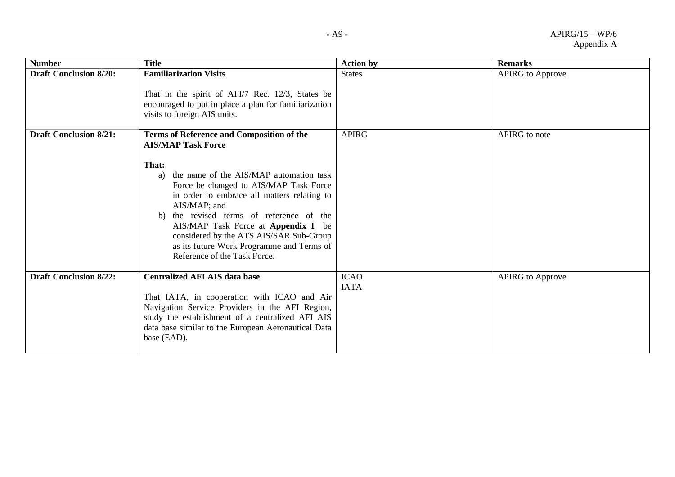| <b>Number</b>                 | <b>Title</b>                                                                                                                                                                                                                                                                                                                                                                                                                                                   | <b>Action by</b>           | <b>Remarks</b>          |
|-------------------------------|----------------------------------------------------------------------------------------------------------------------------------------------------------------------------------------------------------------------------------------------------------------------------------------------------------------------------------------------------------------------------------------------------------------------------------------------------------------|----------------------------|-------------------------|
| <b>Draft Conclusion 8/20:</b> | <b>Familiarization Visits</b><br>That in the spirit of AFI/7 Rec. 12/3, States be<br>encouraged to put in place a plan for familiarization<br>visits to foreign AIS units.                                                                                                                                                                                                                                                                                     | <b>States</b>              | <b>APIRG</b> to Approve |
| <b>Draft Conclusion 8/21:</b> | Terms of Reference and Composition of the<br><b>AIS/MAP Task Force</b><br>That:<br>the name of the AIS/MAP automation task<br>a)<br>Force be changed to AIS/MAP Task Force<br>in order to embrace all matters relating to<br>AIS/MAP; and<br>the revised terms of reference of the<br>b)<br>AIS/MAP Task Force at <b>Appendix I</b> be<br>considered by the ATS AIS/SAR Sub-Group<br>as its future Work Programme and Terms of<br>Reference of the Task Force. | <b>APIRG</b>               | APIRG to note           |
| <b>Draft Conclusion 8/22:</b> | <b>Centralized AFI AIS data base</b><br>That IATA, in cooperation with ICAO and Air<br>Navigation Service Providers in the AFI Region,<br>study the establishment of a centralized AFI AIS<br>data base similar to the European Aeronautical Data<br>base (EAD).                                                                                                                                                                                               | <b>ICAO</b><br><b>IATA</b> | <b>APIRG</b> to Approve |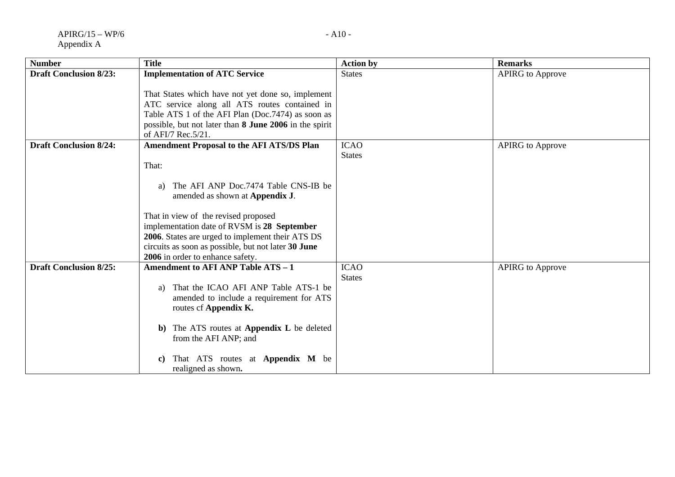| <b>Number</b>                 | <b>Title</b>                                                                                                                                                                                                                             | <b>Action by</b>             | <b>Remarks</b>          |
|-------------------------------|------------------------------------------------------------------------------------------------------------------------------------------------------------------------------------------------------------------------------------------|------------------------------|-------------------------|
| <b>Draft Conclusion 8/23:</b> | <b>Implementation of ATC Service</b>                                                                                                                                                                                                     | <b>States</b>                | <b>APIRG</b> to Approve |
|                               | That States which have not yet done so, implement<br>ATC service along all ATS routes contained in<br>Table ATS 1 of the AFI Plan (Doc.7474) as soon as<br>possible, but not later than 8 June 2006 in the spirit<br>of AFI/7 Rec. 5/21. |                              |                         |
| <b>Draft Conclusion 8/24:</b> | <b>Amendment Proposal to the AFI ATS/DS Plan</b>                                                                                                                                                                                         | <b>ICAO</b>                  | <b>APIRG</b> to Approve |
|                               | That:                                                                                                                                                                                                                                    | <b>States</b>                |                         |
|                               | The AFI ANP Doc.7474 Table CNS-IB be<br>a)<br>amended as shown at <b>Appendix J</b> .                                                                                                                                                    |                              |                         |
|                               | That in view of the revised proposed                                                                                                                                                                                                     |                              |                         |
|                               | implementation date of RVSM is 28 September<br>2006. States are urged to implement their ATS DS                                                                                                                                          |                              |                         |
|                               | circuits as soon as possible, but not later 30 June<br>2006 in order to enhance safety.                                                                                                                                                  |                              |                         |
| <b>Draft Conclusion 8/25:</b> | Amendment to AFI ANP Table ATS - 1                                                                                                                                                                                                       | <b>ICAO</b><br><b>States</b> | <b>APIRG</b> to Approve |
|                               | That the ICAO AFI ANP Table ATS-1 be<br>a)<br>amended to include a requirement for ATS<br>routes of Appendix K.                                                                                                                          |                              |                         |
|                               | The ATS routes at <b>Appendix L</b> be deleted<br>$\mathbf{b}$<br>from the AFI ANP; and                                                                                                                                                  |                              |                         |
|                               | That ATS routes at <b>Appendix M</b> be<br>C)<br>realigned as shown.                                                                                                                                                                     |                              |                         |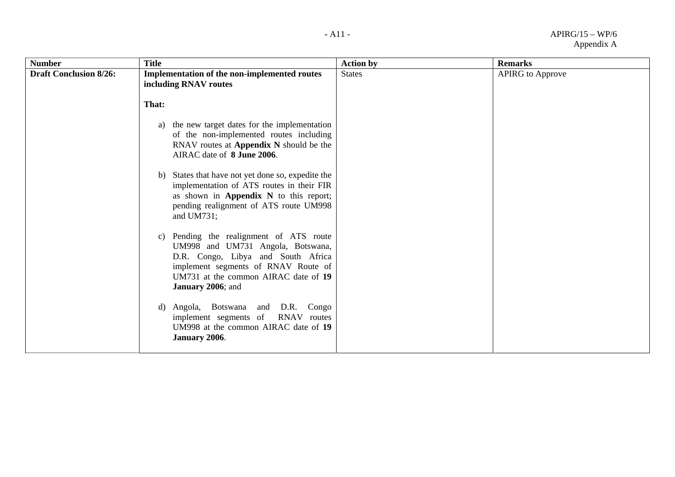| <b>Number</b>                 | <b>Title</b>                                                                                                                                                                                                                      | <b>Action by</b> | <b>Remarks</b>          |
|-------------------------------|-----------------------------------------------------------------------------------------------------------------------------------------------------------------------------------------------------------------------------------|------------------|-------------------------|
| <b>Draft Conclusion 8/26:</b> | <b>Implementation of the non-implemented routes</b><br>including RNAV routes                                                                                                                                                      | <b>States</b>    | <b>APIRG</b> to Approve |
|                               | That:                                                                                                                                                                                                                             |                  |                         |
|                               | the new target dates for the implementation<br>a)<br>of the non-implemented routes including<br>RNAV routes at Appendix N should be the<br>AIRAC date of 8 June 2006.                                                             |                  |                         |
|                               | States that have not yet done so, expedite the<br>b)<br>implementation of ATS routes in their FIR<br>as shown in Appendix N to this report;<br>pending realignment of ATS route UM998<br>and UM731;                               |                  |                         |
|                               | Pending the realignment of ATS route<br>C)<br>UM998 and UM731 Angola, Botswana,<br>D.R. Congo, Libya and South Africa<br>implement segments of RNAV Route of<br>UM731 at the common AIRAC date of 19<br><b>January 2006</b> ; and |                  |                         |
|                               | Angola, Botswana and D.R. Congo<br>d)<br>implement segments of RNAV routes<br>UM998 at the common AIRAC date of 19<br>January 2006.                                                                                               |                  |                         |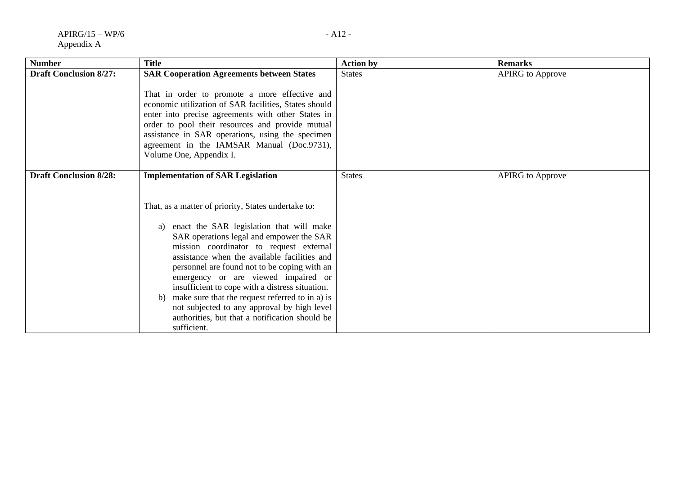| <b>Number</b>                 | <b>Title</b>                                                                                                                                                                                                                                                                                                                                                                                                                                                                                                                                                                                                | <b>Action by</b> | <b>Remarks</b>          |
|-------------------------------|-------------------------------------------------------------------------------------------------------------------------------------------------------------------------------------------------------------------------------------------------------------------------------------------------------------------------------------------------------------------------------------------------------------------------------------------------------------------------------------------------------------------------------------------------------------------------------------------------------------|------------------|-------------------------|
| <b>Draft Conclusion 8/27:</b> | <b>SAR Cooperation Agreements between States</b><br>That in order to promote a more effective and<br>economic utilization of SAR facilities, States should<br>enter into precise agreements with other States in<br>order to pool their resources and provide mutual<br>assistance in SAR operations, using the specimen<br>agreement in the IAMSAR Manual (Doc.9731),<br>Volume One, Appendix I.                                                                                                                                                                                                           | <b>States</b>    | <b>APIRG</b> to Approve |
| <b>Draft Conclusion 8/28:</b> | <b>Implementation of SAR Legislation</b><br>That, as a matter of priority, States undertake to:<br>enact the SAR legislation that will make<br>a)<br>SAR operations legal and empower the SAR<br>mission coordinator to request external<br>assistance when the available facilities and<br>personnel are found not to be coping with an<br>emergency or are viewed impaired or<br>insufficient to cope with a distress situation.<br>make sure that the request referred to in a) is<br>b)<br>not subjected to any approval by high level<br>authorities, but that a notification should be<br>sufficient. | <b>States</b>    | <b>APIRG</b> to Approve |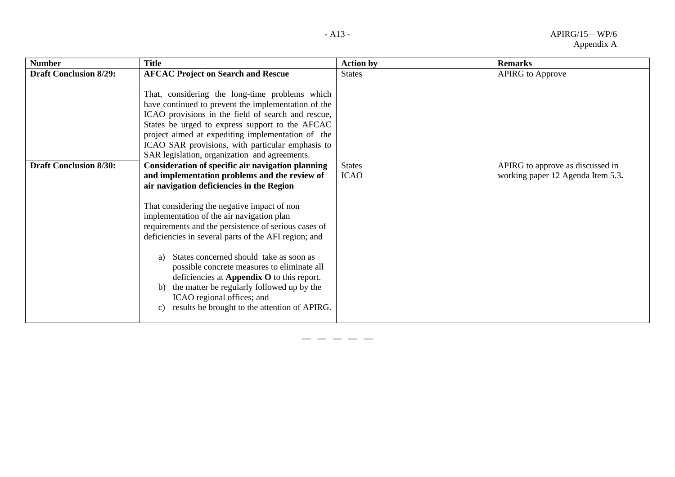| <b>Number</b>                 | <b>Title</b>                                                                                                                                                                                                                                                                                                                                                                                                                                                                                                                                                                                                                                                    | <b>Action by</b>             | <b>Remarks</b>                                                        |
|-------------------------------|-----------------------------------------------------------------------------------------------------------------------------------------------------------------------------------------------------------------------------------------------------------------------------------------------------------------------------------------------------------------------------------------------------------------------------------------------------------------------------------------------------------------------------------------------------------------------------------------------------------------------------------------------------------------|------------------------------|-----------------------------------------------------------------------|
| <b>Draft Conclusion 8/29:</b> | <b>AFCAC Project on Search and Rescue</b><br>That, considering the long-time problems which<br>have continued to prevent the implementation of the<br>ICAO provisions in the field of search and rescue,<br>States be urged to express support to the AFCAC<br>project aimed at expediting implementation of the<br>ICAO SAR provisions, with particular emphasis to<br>SAR legislation, organization and agreements.                                                                                                                                                                                                                                           | <b>States</b>                | <b>APIRG</b> to Approve                                               |
| <b>Draft Conclusion 8/30:</b> | Consideration of specific air navigation planning<br>and implementation problems and the review of<br>air navigation deficiencies in the Region<br>That considering the negative impact of non<br>implementation of the air navigation plan<br>requirements and the persistence of serious cases of<br>deficiencies in several parts of the AFI region; and<br>States concerned should take as soon as<br>a)<br>possible concrete measures to eliminate all<br>deficiencies at Appendix O to this report.<br>the matter be regularly followed up by the<br>b)<br>ICAO regional offices; and<br>results be brought to the attention of APIRG.<br>$\mathcal{C}$ ) | <b>States</b><br><b>ICAO</b> | APIRG to approve as discussed in<br>working paper 12 Agenda Item 5.3. |

**— — — — —**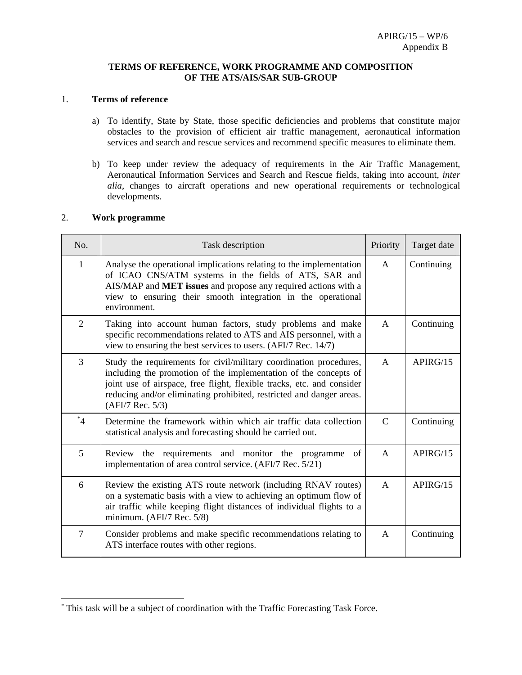#### **TERMS OF REFERENCE, WORK PROGRAMME AND COMPOSITION OF THE ATS/AIS/SAR SUB-GROUP**

### 1. **Terms of reference**

- a) To identify, State by State, those specific deficiencies and problems that constitute major obstacles to the provision of efficient air traffic management, aeronautical information services and search and rescue services and recommend specific measures to eliminate them.
- b) To keep under review the adequacy of requirements in the Air Traffic Management, Aeronautical Information Services and Search and Rescue fields, taking into account, *inter alia*, changes to aircraft operations and new operational requirements or technological developments.

#### 2. **Work programme**

 $\overline{a}$ 

| No.            | Task description                                                                                                                                                                                                                                                                                                        | Priority      | Target date |
|----------------|-------------------------------------------------------------------------------------------------------------------------------------------------------------------------------------------------------------------------------------------------------------------------------------------------------------------------|---------------|-------------|
| $\mathbf{1}$   | Analyse the operational implications relating to the implementation<br>of ICAO CNS/ATM systems in the fields of ATS, SAR and<br>AIS/MAP and MET issues and propose any required actions with a<br>view to ensuring their smooth integration in the operational<br>environment.                                          | $\mathsf{A}$  | Continuing  |
| $\overline{2}$ | Taking into account human factors, study problems and make<br>specific recommendations related to ATS and AIS personnel, with a<br>view to ensuring the best services to users. (AFI/7 Rec. 14/7)                                                                                                                       | $\mathsf{A}$  | Continuing  |
| 3              | Study the requirements for civil/military coordination procedures,<br>including the promotion of the implementation of the concepts of<br>joint use of airspace, free flight, flexible tracks, etc. and consider<br>reducing and/or eliminating prohibited, restricted and danger areas.<br>$(AFI/7 \text{ Rec. } 5/3)$ | A             | APIRG/15    |
| $^*$ 4         | Determine the framework within which air traffic data collection<br>statistical analysis and forecasting should be carried out.                                                                                                                                                                                         | $\mathcal{C}$ | Continuing  |
| 5              | Review the requirements and monitor the programme<br>of<br>implementation of area control service. (AFI/7 Rec. 5/21)                                                                                                                                                                                                    | $\mathsf{A}$  | APIRG/15    |
| 6              | Review the existing ATS route network (including RNAV routes)<br>on a systematic basis with a view to achieving an optimum flow of<br>air traffic while keeping flight distances of individual flights to a<br>minimum. (AFI/7 Rec. 5/8)                                                                                | $\mathsf{A}$  | APIRG/15    |
| $\overline{7}$ | Consider problems and make specific recommendations relating to<br>ATS interface routes with other regions.                                                                                                                                                                                                             | A             | Continuing  |

<sup>\*</sup> This task will be a subject of coordination with the Traffic Forecasting Task Force.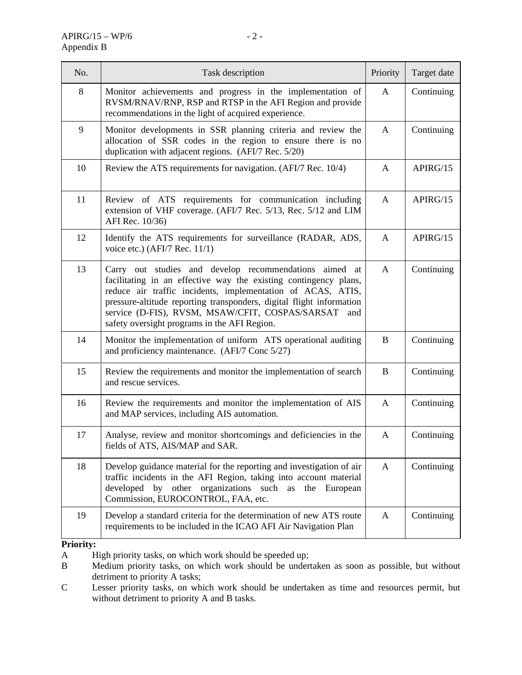| No. | Task description                                                                                                                                                                                                                                                                                                                                                            | Priority     | Target date |
|-----|-----------------------------------------------------------------------------------------------------------------------------------------------------------------------------------------------------------------------------------------------------------------------------------------------------------------------------------------------------------------------------|--------------|-------------|
| 8   | Monitor achievements and progress in the implementation of<br>RVSM/RNAV/RNP, RSP and RTSP in the AFI Region and provide<br>recommendations in the light of acquired experience.                                                                                                                                                                                             | A            | Continuing  |
| 9   | Monitor developments in SSR planning criteria and review the<br>allocation of SSR codes in the region to ensure there is no<br>duplication with adjacent regions. (AFI/7 Rec. 5/20)                                                                                                                                                                                         | $\mathbf{A}$ | Continuing  |
| 10  | Review the ATS requirements for navigation. (AFI/7 Rec. 10/4)                                                                                                                                                                                                                                                                                                               | A            | APIRG/15    |
| 11  | Review of ATS requirements for communication including<br>extension of VHF coverage. (AFI/7 Rec. 5/13, Rec. 5/12 and LIM<br>AFI Rec. 10/36)                                                                                                                                                                                                                                 | A            | APIRG/15    |
| 12  | Identify the ATS requirements for surveillance (RADAR, ADS,<br>voice etc.) (AFI/7 Rec. 11/1)                                                                                                                                                                                                                                                                                | A            | APIRG/15    |
| 13  | Carry out studies and develop recommendations aimed at<br>facilitating in an effective way the existing contingency plans,<br>reduce air traffic incidents, implementation of ACAS, ATIS,<br>pressure-altitude reporting transponders, digital flight information<br>service (D-FIS), RVSM, MSAW/CFIT, COSPAS/SARSAT<br>and<br>safety oversight programs in the AFI Region. | A            | Continuing  |
| 14  | Monitor the implementation of uniform ATS operational auditing<br>and proficiency maintenance. (AFI/7 Conc 5/27)                                                                                                                                                                                                                                                            | B            | Continuing  |
| 15  | Review the requirements and monitor the implementation of search<br>and rescue services.                                                                                                                                                                                                                                                                                    | B            | Continuing  |
| 16  | Review the requirements and monitor the implementation of AIS<br>and MAP services, including AIS automation.                                                                                                                                                                                                                                                                | A            | Continuing  |
| 17  | Analyse, review and monitor shortcomings and deficiencies in the<br>fields of ATS, AIS/MAP and SAR.                                                                                                                                                                                                                                                                         | A            | Continuing  |
| 18  | Develop guidance material for the reporting and investigation of air<br>traffic incidents in the AFI Region, taking into account material<br>developed<br>other<br>organizations<br>such as<br>by<br>the<br>European<br>Commission, EUROCONTROL, FAA, etc.                                                                                                                  | A            | Continuing  |
| 19  | Develop a standard criteria for the determination of new ATS route<br>requirements to be included in the ICAO AFI Air Navigation Plan                                                                                                                                                                                                                                       | $\mathbf{A}$ | Continuing  |

### **Priority:**

A High priority tasks, on which work should be speeded up;

B Medium priority tasks, on which work should be undertaken as soon as possible, but without detriment to priority A tasks;

C Lesser priority tasks, on which work should be undertaken as time and resources permit, but without detriment to priority A and B tasks.